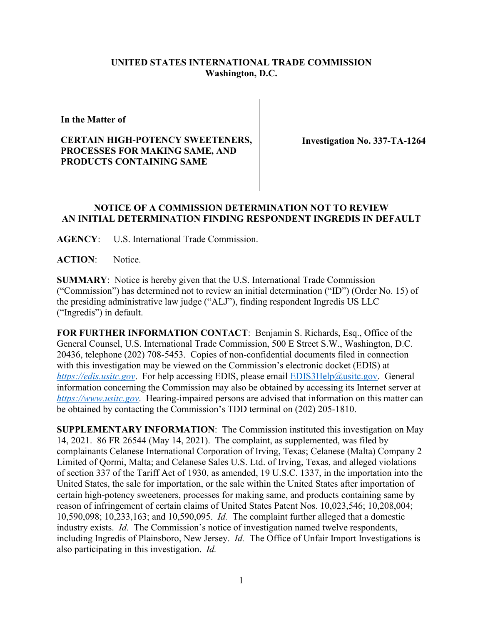## **UNITED STATES INTERNATIONAL TRADE COMMISSION Washington, D.C.**

**In the Matter of**

## **CERTAIN HIGH-POTENCY SWEETENERS, PROCESSES FOR MAKING SAME, AND PRODUCTS CONTAINING SAME**

**Investigation No. 337-TA-1264**

## **NOTICE OF A COMMISSION DETERMINATION NOT TO REVIEW AN INITIAL DETERMINATION FINDING RESPONDENT INGREDIS IN DEFAULT**

**AGENCY**: U.S. International Trade Commission.

ACTION: Notice.

**SUMMARY**: Notice is hereby given that the U.S. International Trade Commission ("Commission") has determined not to review an initial determination ("ID") (Order No. 15) of the presiding administrative law judge ("ALJ"), finding respondent Ingredis US LLC ("Ingredis") in default.

**FOR FURTHER INFORMATION CONTACT**: Benjamin S. Richards, Esq., Office of the General Counsel, U.S. International Trade Commission, 500 E Street S.W., Washington, D.C. 20436, telephone (202) 708-5453. Copies of non-confidential documents filed in connection with this investigation may be viewed on the Commission's electronic docket (EDIS) at *[https://edis.usitc.gov](https://edis.usitc.gov/)*. For help accessing EDIS, please email [EDIS3Help@usitc.gov.](mailto:EDIS3Help@usitc.gov) General information concerning the Commission may also be obtained by accessing its Internet server at *[https://www.usitc.gov](https://www.usitc.gov/)*. Hearing-impaired persons are advised that information on this matter can be obtained by contacting the Commission's TDD terminal on (202) 205-1810.

**SUPPLEMENTARY INFORMATION**: The Commission instituted this investigation on May 14, 2021. 86 FR 26544 (May 14, 2021). The complaint, as supplemented, was filed by complainants Celanese International Corporation of Irving, Texas; Celanese (Malta) Company 2 Limited of Qormi, Malta; and Celanese Sales U.S. Ltd. of Irving, Texas, and alleged violations of section 337 of the Tariff Act of 1930, as amended, 19 U.S.C. 1337, in the importation into the United States, the sale for importation, or the sale within the United States after importation of certain high-potency sweeteners, processes for making same, and products containing same by reason of infringement of certain claims of United States Patent Nos. 10,023,546; 10,208,004; 10,590,098; 10,233,163; and 10,590,095. *Id.* The complaint further alleged that a domestic industry exists. *Id.* The Commission's notice of investigation named twelve respondents, including Ingredis of Plainsboro, New Jersey. *Id.* The Office of Unfair Import Investigations is also participating in this investigation. *Id.*